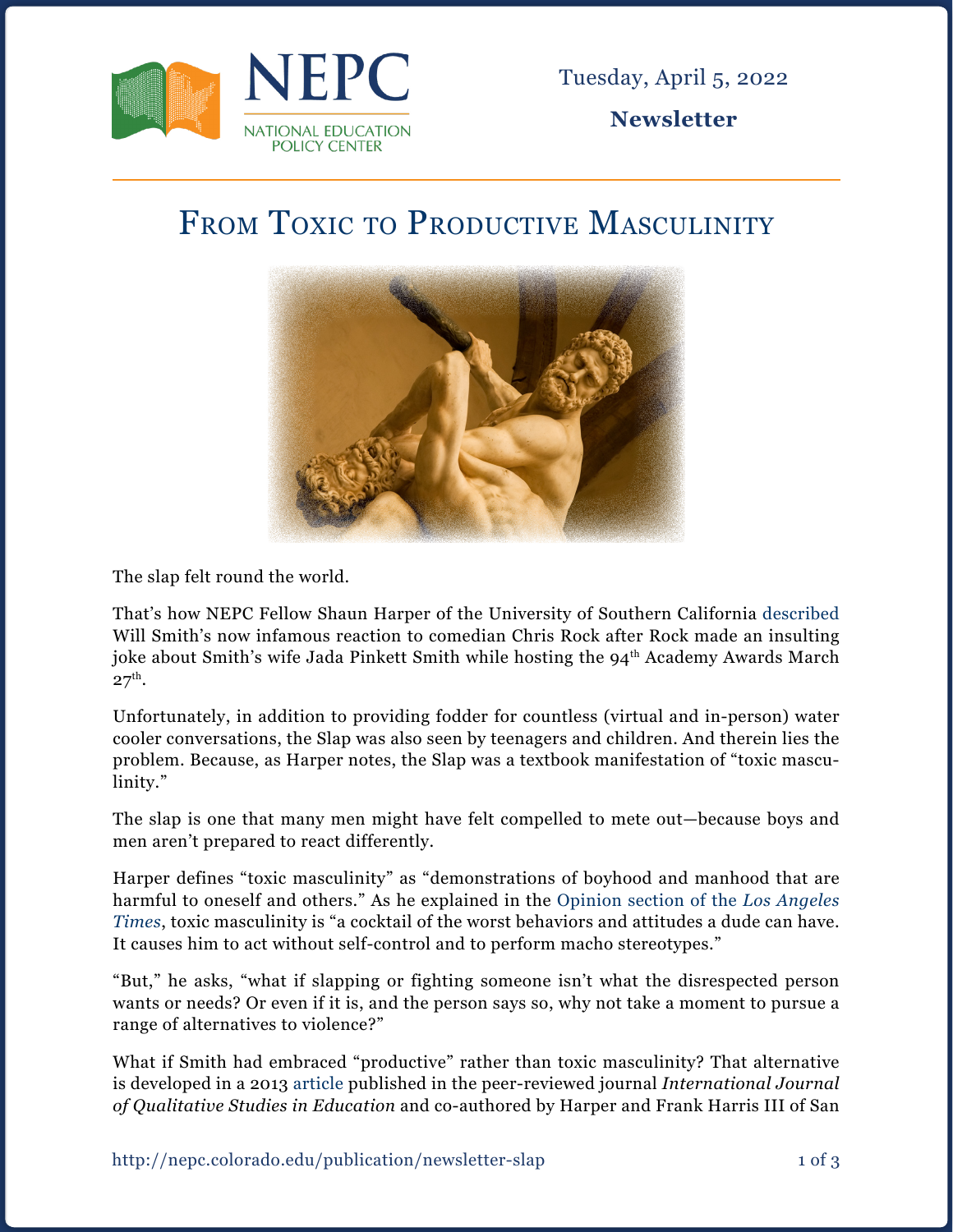

**Newsletter**

## FROM TOXIC TO PRODUCTIVE MASCULINITY



The slap felt round the world.

That's how NEPC Fellow Shaun Harper of the University of Southern California [described](https://www.latimes.com/opinion/story/2022-03-28/will-smith-chris-rock-oscars-slap-toxic-masculinity?fbclid=IwAR3kdNlZkINupGqtBwYCjW-x5Z7ZT5Pz8iUHv3xCOTqgNb5cBQ8WOdR4wMc) Will Smith's now infamous reaction to comedian Chris Rock after Rock made an insulting joke about Smith's wife Jada Pinkett Smith while hosting the 94th Academy Awards March  $27<sup>th</sup>$ .

Unfortunately, in addition to providing fodder for countless (virtual and in-person) water cooler conversations, the Slap was also seen by teenagers and children. And therein lies the problem. Because, as Harper notes, the Slap was a textbook manifestation of "toxic masculinity."

The slap is one that many men might have felt compelled to mete out—because boys and men aren't prepared to react differently.

Harper defines "toxic masculinity" as "demonstrations of boyhood and manhood that are harmful to oneself and others." As he explained in the [Opinion section of the](https://www.latimes.com/opinion/story/2022-03-28/will-smith-chris-rock-oscars-slap-toxic-masculinity?fbclid=IwAR3kdNlZkINupGqtBwYCjW-x5Z7ZT5Pz8iUHv3xCOTqgNb5cBQ8WOdR4wMc) *Los Angeles [Times](https://www.latimes.com/opinion/story/2022-03-28/will-smith-chris-rock-oscars-slap-toxic-masculinity?fbclid=IwAR3kdNlZkINupGqtBwYCjW-x5Z7ZT5Pz8iUHv3xCOTqgNb5cBQ8WOdR4wMc)*, toxic masculinity is "a cocktail of the worst behaviors and attitudes a dude can have. It causes him to act without self-control and to perform macho stereotypes."

"But," he asks, "what if slapping or fighting someone isn't what the disrespected person wants or needs? Or even if it is, and the person says so, why not take a moment to pursue a range of alternatives to violence?"

What if Smith had embraced "productive" rather than toxic masculinity? That alternative is developed in a 2013 [article](https://www.tandfonline.com/doi/pdf/10.1080/09518398.2014.901577?needAccess=true) published in the peer-reviewed journal *International Journal of Qualitative Studies in Education* and co-authored by Harper and Frank Harris III of San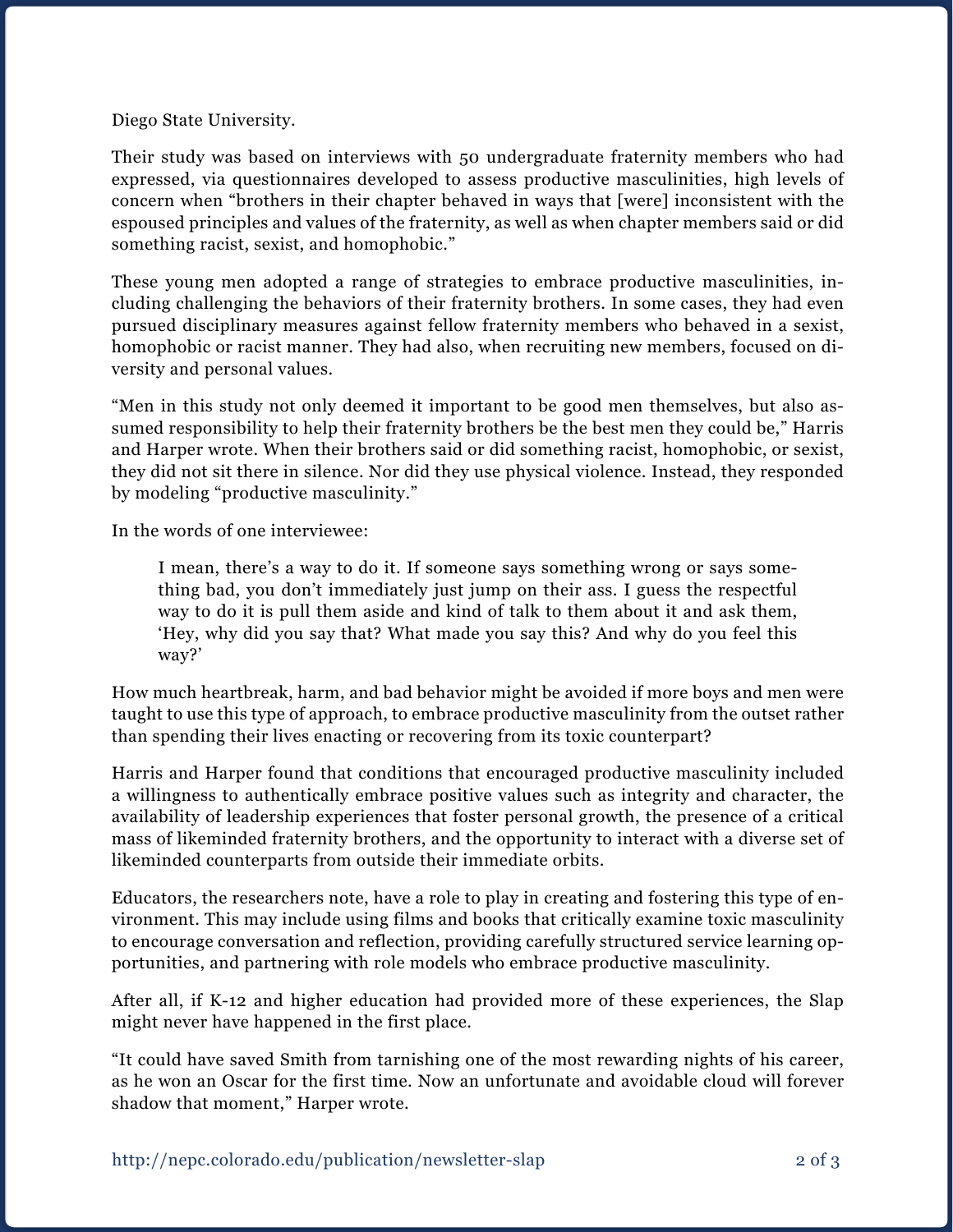Diego State University.

Their study was based on interviews with 50 undergraduate fraternity members who had expressed, via questionnaires developed to assess productive masculinities, high levels of concern when "brothers in their chapter behaved in ways that [were] inconsistent with the espoused principles and values of the fraternity, as well as when chapter members said or did something racist, sexist, and homophobic."

These young men adopted a range of strategies to embrace productive masculinities, including challenging the behaviors of their fraternity brothers. In some cases, they had even pursued disciplinary measures against fellow fraternity members who behaved in a sexist, homophobic or racist manner. They had also, when recruiting new members, focused on diversity and personal values.

"Men in this study not only deemed it important to be good men themselves, but also assumed responsibility to help their fraternity brothers be the best men they could be," Harris and Harper wrote. When their brothers said or did something racist, homophobic, or sexist, they did not sit there in silence. Nor did they use physical violence. Instead, they responded by modeling "productive masculinity."

In the words of one interviewee:

I mean, there's a way to do it. If someone says something wrong or says something bad, you don't immediately just jump on their ass. I guess the respectful way to do it is pull them aside and kind of talk to them about it and ask them, 'Hey, why did you say that? What made you say this? And why do you feel this way?'

How much heartbreak, harm, and bad behavior might be avoided if more boys and men were taught to use this type of approach, to embrace productive masculinity from the outset rather than spending their lives enacting or recovering from its toxic counterpart?

Harris and Harper found that conditions that encouraged productive masculinity included a willingness to authentically embrace positive values such as integrity and character, the availability of leadership experiences that foster personal growth, the presence of a critical mass of likeminded fraternity brothers, and the opportunity to interact with a diverse set of likeminded counterparts from outside their immediate orbits.

Educators, the researchers note, have a role to play in creating and fostering this type of environment. This may include using films and books that critically examine toxic masculinity to encourage conversation and reflection, providing carefully structured service learning opportunities, and partnering with role models who embrace productive masculinity.

After all, if K-12 and higher education had provided more of these experiences, the Slap might never have happened in the first place.

"It could have saved Smith from tarnishing one of the most rewarding nights of his career, as he won an Oscar for the first time. Now an unfortunate and avoidable cloud will forever shadow that moment," Harper wrote.